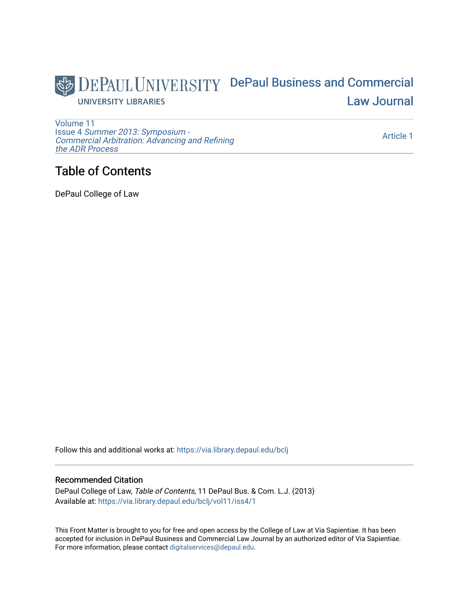

[Volume 11](https://via.library.depaul.edu/bclj/vol11) Issue 4 [Summer 2013: Symposium -](https://via.library.depaul.edu/bclj/vol11/iss4)  [Commercial Arbitration: Advancing and Refining](https://via.library.depaul.edu/bclj/vol11/iss4)  [the ADR Process](https://via.library.depaul.edu/bclj/vol11/iss4) 

[Article 1](https://via.library.depaul.edu/bclj/vol11/iss4/1) 

## Table of Contents

DePaul College of Law

Follow this and additional works at: [https://via.library.depaul.edu/bclj](https://via.library.depaul.edu/bclj?utm_source=via.library.depaul.edu%2Fbclj%2Fvol11%2Fiss4%2F1&utm_medium=PDF&utm_campaign=PDFCoverPages) 

## Recommended Citation

DePaul College of Law, Table of Contents, 11 DePaul Bus. & Com. L.J. (2013) Available at: [https://via.library.depaul.edu/bclj/vol11/iss4/1](https://via.library.depaul.edu/bclj/vol11/iss4/1?utm_source=via.library.depaul.edu%2Fbclj%2Fvol11%2Fiss4%2F1&utm_medium=PDF&utm_campaign=PDFCoverPages) 

This Front Matter is brought to you for free and open access by the College of Law at Via Sapientiae. It has been accepted for inclusion in DePaul Business and Commercial Law Journal by an authorized editor of Via Sapientiae. For more information, please contact [digitalservices@depaul.edu.](mailto:digitalservices@depaul.edu)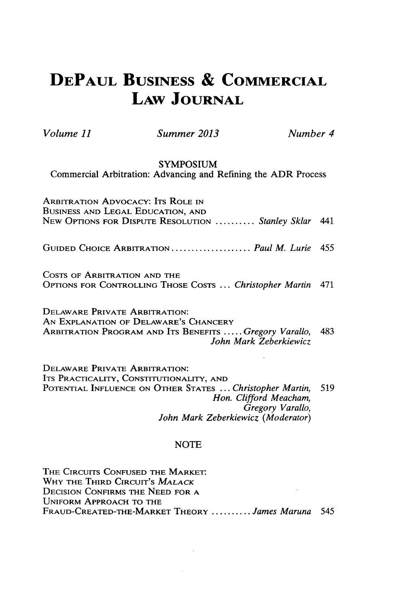# **DEPAUL BUSINESS & COMMERCIAL LAW JOURNAL**

*Volume 11 Summer 2013 Number 4*

### **SYMPOSIUM**

Commercial Arbitration: Advancing and Refining the ADR Process

| <b>ARBITRATION ADVOCACY: ITS ROLE IN</b><br>BUSINESS AND LEGAL EDUCATION, AND<br>NEW OPTIONS FOR DISPUTE RESOLUTION  Stanley Sklar 441 |  |
|----------------------------------------------------------------------------------------------------------------------------------------|--|
| GUIDED CHOICE ARBITRATION  Paul M. Lurie 455                                                                                           |  |
| COSTS OF ARBITRATION AND THE<br>OPTIONS FOR CONTROLLING THOSE COSTS  Christopher Martin 471                                            |  |
| <b>DELAWARE PRIVATE ARBITRATION:</b><br>AN EXPLANATION OF DELAWARE'S CHANCERY                                                          |  |

ARBITRATION PROGRAM **AND** ITS **BENEFITS .....** *Gregory Varallo,* 483 *John Mark Zeberkiewicz*

DELAWARE PRIVATE ARBITRATION: **ITS** PRACTICALITY, **CONSTITUTIONALITY, AND POTENTIAL INFLUENCE ON** OTHER **STATES ...** *Christopher Martin, 519 Hon. Clifford Meacham, Gregory Varallo, John Mark Zeberkiewicz (Moderator)*

#### **NOTE**

THE CIRCUITS **CONFUSED** THE MARKET: WHY THE THIRD **CIRCUIT'S** *MALACK*  $\sim$   $\sim$ **DECISION** CONFIRMS THE **NEED** FOR **A** UNIFORM APPROACH TO THE FRAUD-CREATED-THE-MARKET THEORY **..........** *James Maruna 545*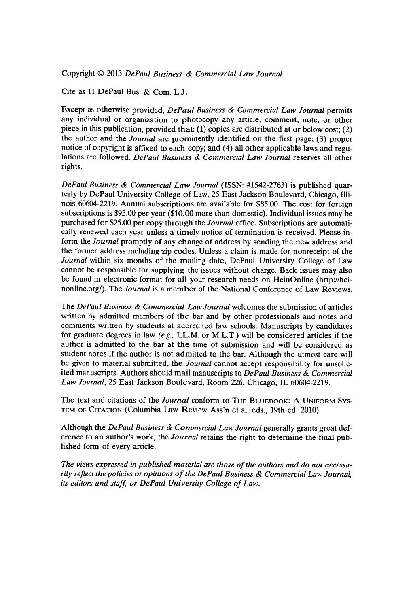Copyright @ **2013** *DePaul Business & Commercial Law Journal*

Cite as **11** DePaul Bus. **&** Com. **L.J.**

Except as otherwise provided, *DePaul Business & Commercial Law Journal* permits any individual or organization to photocopy any article, comment, note, or other piece in this publication, provided that: **(1)** copies are distributed at or below cost; (2) the author and the *Journal* are prominently identified on the first page; **(3)** proper notice of copyright is affixed to each copy; and (4) all other applicable laws and regulations are followed. *DePaul Business & Commercial Law Journal* reserves all other rights.

*DePaul Business & Commercial Law Journal* **(ISSN: #1542-2763)** is published quarterly **by** DePaul University College of Law, **25** East Jackson Boulevard, Chicago, Illinois 60604-2219. Annual subscriptions are available for **\$85.00.** The cost for foreign subscriptions is **\$95.00** per year **(\$10.00** more than domestic). Individual issues may be purchased for **\$25.00** per copy through the *Journal* office. Subscriptions are automatically renewed each year unless a timely notice of termination is received. Please inform the *Journal* promptly of any change of address **by** sending the new address and the former address including zip codes. Unless a claim is made for nonreceipt of the *Journal* within six months of the mailing date, DePaul University College of Law cannot be responsible for supplying the issues without charge. Back issues may also be found in electronic format for all your research needs on HeinOnline (http://heinonline.org/). The *Journal* is a member of the National Conference of Law Reviews.

The *DePaul Business & Commercial Law Journal* welcomes the submission of articles written **by** admitted members of the bar and **by** other professionals and notes and comments written **by** students at accredited law schools. Manuscripts **by** candidates for graduate degrees in law *(e.g.,* LL.M. or M.L.T.) will be considered articles if the author is admitted to the bar at the time of submission and will be considered as student notes if the author is not admitted to the bar. Although the utmost care will be given to material submitted, the *Journal* cannot accept responsibility for unsolicited manuscripts. Authors should mail manuscripts to *DePaul Business & Commercial Law Journal,* **25** East Jackson Boulevard, Room **226,** Chicago, IL 60604-2219.

The text and citations of the *Journal* conform to THE BLUEBOOK: A UNIFORM Sys-**TEM OF CITATION** (Columbia Law Review Ass'n et al. eds., 19th ed. 2010).

Although the *DePaul Business & Commercial Law Journal* generally grants great deference to an author's work, the *Journal* retains the right to determine the final published form of every article.

*The views expressed in published material are those of the authors and do not necessarily reflect the policies or opinions of the DePaul Business & Commercial Law Journal,* its editors and staff, or DePaul University College of Law.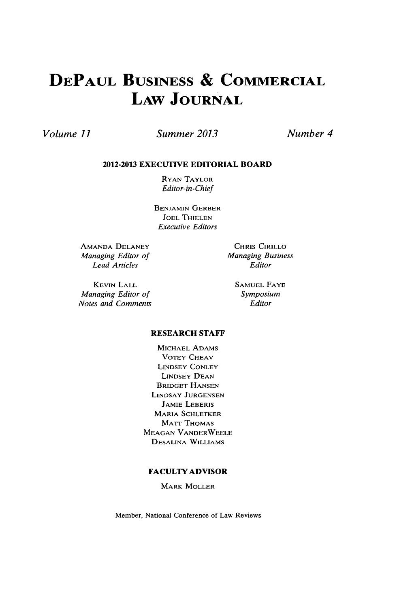# **DEPAUL BUSINESS & COMMERCIAL LAW JOURNAL**

## *Volume 11 Summer 2013*

*Number 4*

#### **2012-2013 EXECUTIVE EDITORIAL BOARD**

RYAN TAYLOR *Editor-in-Chief*

**BENJAMIN** GERBER **JOEL THIELEN** *Executive Editors*

**AMANDA DELANEY** *Managing Editor of Lead Articles*

**KEVIN** LALL *Managing Editor of Notes and Comments*

CHRIS CIRILLO *Managing Business Editor*

> **SAMUEL FAYE** *Symposium Editor*

#### **RESEARCH STAFF**

**MICHAEL ADAMS** VOTEY **CHEAV LINDSEY CONLEY LINDSEY DEAN** BRIDGET **HANSEN** LINDSAY **JURGENSEN** JAMIE LEBERIS **MARIA SCHLETKER** MATT **THOMAS MEAGAN** VANDERWEELE **DESALINA** WILLIAMS

#### **FACULTY ADVISOR**

MARK MOLLER

Member, National Conference of Law Reviews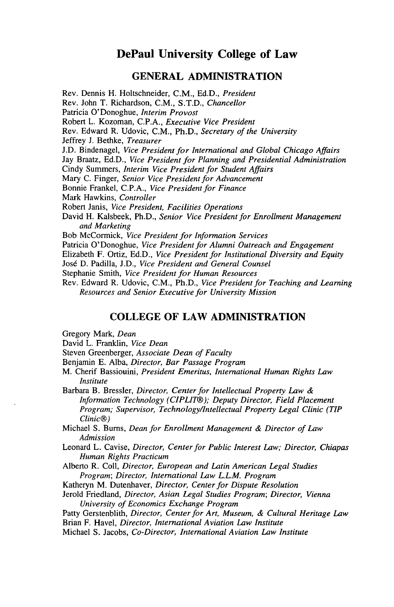## **DePaul University College of Law**

## **GENERAL ADMINISTRATION**

Rev. Dennis H. Holtschneider, **C.M., Ed.D.,** *President* Rev. John T. Richardson, **C.M., S.T.D.,** *Chancellor* Patricia O'Donoghue, *Interim Provost* Robert L. Kozoman, **C.P.A.,** *Executive Vice President* Rev. Edward R. Udovic, **C.M.,** Ph.D., *Secretary of the University* Jeffrey **J.** Bethke, *Treasurer* **J.D.** Bindenagel, *Vice President for International and Global Chicago Affairs* Jay Braatz, **Ed.D.,** *Vice President for Planning and Presidential Administration* Cindy Summers, *Interim Vice President for Student Affairs* Mary **C.** Finger, *Senior Vice President for Advancement* Bonnie Frankel, **C.P.A.,** *Vice President for Finance* Mark Hawkins, *Controller* Robert Janis, *Vice President, Facilities Operations* David H. Kalsbeek, Ph.D., *Senior Vice President for Enrollment Management and Marketing* Bob McCormick, *Vice President for Information Services* Patricia O'Donoghue, *Vice President for Alumni Outreach and Engagement* Elizabeth F. Ortiz, **Ed.D.,** *Vice President for Institutional Diversity and Equity* Jos6 **D.** Padilla, **J.D.,** *Vice President and General Counsel* Stephanie Smith, *Vice President for Human Resources* Rev. Edward R. Udovic, **C.M.,** Ph.D., *Vice President for Teaching and Learning*

## **COLLEGE OF LAW ADMINISTRATION**

*Resources and Senior Executive for University Mission*

Gregory Mark, *Dean*

David L. Franklin, *Vice Dean*

Steven Greenberger, *Associate Dean of Faculty*

Benjamin **E.** Alba, *Director, Bar Passage Program*

M. Cherif Bassiouini, *President Emeritus, International Human Rights Law Institute*

Barbara B. Bressler, *Director, Center for Intellectual Property Law & Information Technology (CIPLIT®); Deputy Director, Field Placement Program; Supervisor, Technology/Intellectual Property Legal Clinic (TIP Clinic@)*

Michael **S.** Bums, *Dean for Enrollment Management & Director of Law Admission*

Leonard L. Cavise, *Director, Center for Public Interest Law; Director, Chiapas Human Rights Practicum*

Alberto R. Coll, *Director, European and Latin American Legal Studies Program; Director, International Law L.L.M. Program*

Katheryn M. Dutenhaver, *Director, Center for Dispute Resolution*

Jerold Friedland, *Director, Asian Legal Studies Program; Director, Vienna University of Economics Exchange Program*

Patty Gerstenblith, *Director, Center for Art, Museum, & Cultural Heritage Law*

Brian F. Havel, *Director, International Aviation Law Institute*

Michael **S.** Jacobs, *Co-Director, International Aviation Law Institute*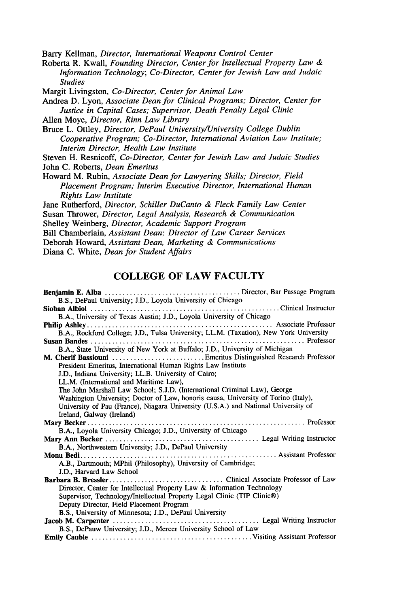Barry Kellman, *Director, International Weapons Control Center*

Roberta R. Kwall, *Founding Director, Center for Intellectual Property Law & Information Technology; Co-Director, Center for Jewish Law and Judaic Studies*

Margit Livingston, *Co-Director, Center for Animal Law*

Andrea **D.** Lyon, *Associate Dean for Clinical Programs; Director, Center for Justice in Capital Cases; Supervisor, Death Penalty Legal Clinic*

- Allen Moye, *Director, Rinn Law Library*
- Bruce L. Ottley, *Director, DePaul University/University College Dublin Cooperative Program; Co-Director, International Aviation Law Institute; Interim Director, Health Law Institute*

Steven H. Resnicoff, *Co-Director, Center for Jewish Law and Judaic Studies* John **C.** Roberts, *Dean Emeritus*

Howard M. Rubin, *Associate Dean for Lawyering Skills; Director, Field Placement Program; Interim Executive Director, International Human Rights Law Institute*

Jane Rutherford, *Director, Schiller DuCanto & Fleck Family Law Center* Susan Thrower, *Director, Legal Analysis, Research & Communication* Shelley Weinberg, *Director, Academic Support Program*

Bill Chamberlain, *Assistant Dean; Director of Law Career Services*

Deborah Howard, *Assistant Dean, Marketing & Communications*

Diana **C.** White, *Dean for Student Affairs*

## **COLLEGE OF LAW FACULTY**

| B.S., DePaul University; J.D., Loyola University of Chicago                           |
|---------------------------------------------------------------------------------------|
|                                                                                       |
| B.A., University of Texas Austin; J.D., Loyola University of Chicago                  |
|                                                                                       |
| B.A., Rockford College; J.D., Tulsa University; LL.M. (Taxation), New York University |
|                                                                                       |
| B.A., State University of New York at Buffalo; J.D., University of Michigan           |
| M. Cherif Bassiouni  Emeritus Distinguished Research Professor                        |
| President Emeritus, International Human Rights Law Institute                          |
| J.D., Indiana University; LL.B. University of Cairo;                                  |
| LL.M. (International and Maritime Law),                                               |
| The John Marshall Law School; S.J.D. (International Criminal Law), George             |
| Washington University; Doctor of Law, honoris causa, University of Torino (Italy),    |
| University of Pau (France), Niagara University (U.S.A.) and National University of    |
| Ireland, Galway (Ireland)                                                             |
|                                                                                       |
| B.A., Loyola University Chicago; J.D., University of Chicago                          |
|                                                                                       |
| B.A., Northwestern University; J.D., DePaul University                                |
|                                                                                       |
| A.B., Dartmouth; MPhil (Philosophy), University of Cambridge;                         |
| J.D., Harvard Law School                                                              |
|                                                                                       |
| Director, Center for Intellectual Property Law & Information Technology               |
| Supervisor, Technology/Intellectual Property Legal Clinic (TIP Clinic®)               |
| Deputy Director, Field Placement Program                                              |
| B.S., University of Minnesota; J.D., DePaul University                                |
|                                                                                       |
| B.S., DePauw University; J.D., Mercer University School of Law                        |
|                                                                                       |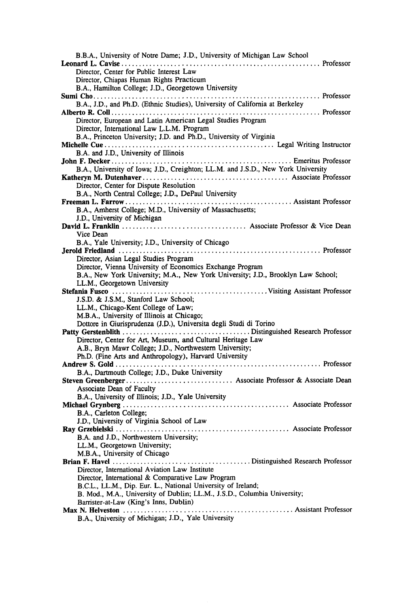| B.B.A., University of Notre Dame; J.D., University of Michigan Law School                                                                |
|------------------------------------------------------------------------------------------------------------------------------------------|
|                                                                                                                                          |
| Director, Center for Public Interest Law                                                                                                 |
| Director, Chiapas Human Rights Practicum                                                                                                 |
| B.A., Hamilton College; J.D., Georgetown University                                                                                      |
|                                                                                                                                          |
| B.A., J.D., and Ph.D. (Ethnic Studies), University of California at Berkeley                                                             |
|                                                                                                                                          |
| Director, European and Latin American Legal Studies Program                                                                              |
| Director, International Law L.L.M. Program                                                                                               |
| B.A., Princeton University; J.D. and Ph.D., University of Virginia                                                                       |
|                                                                                                                                          |
| B.A. and J.D., University of Illinois                                                                                                    |
|                                                                                                                                          |
| B.A., University of Iowa; J.D., Creighton; LL.M. and J.S.D., New York University                                                         |
|                                                                                                                                          |
| Director, Center for Dispute Resolution                                                                                                  |
| B.A., North Central College; J.D., DePaul University                                                                                     |
|                                                                                                                                          |
| B.A., Amherst College; M.D., University of Massachusetts;                                                                                |
| J.D., University of Michigan                                                                                                             |
|                                                                                                                                          |
| Vice Dean                                                                                                                                |
| B.A., Yale University; J.D., University of Chicago                                                                                       |
|                                                                                                                                          |
| Director, Asian Legal Studies Program                                                                                                    |
| Director, Vienna University of Economics Exchange Program                                                                                |
| B.A., New York University; M.A., New York University; J.D., Brooklyn Law School;                                                         |
| LL.M., Georgetown University                                                                                                             |
|                                                                                                                                          |
|                                                                                                                                          |
|                                                                                                                                          |
| J.S.D. & J.S.M., Stanford Law School;                                                                                                    |
| LL.M., Chicago-Kent College of Law;<br>M.B.A., University of Illinois at Chicago;                                                        |
|                                                                                                                                          |
| Dottore in Giurisprudenza (J.D.), Universita degli Studi di Torino                                                                       |
| Director, Center for Art, Museum, and Cultural Heritage Law                                                                              |
|                                                                                                                                          |
| A.B., Bryn Mawr College; J.D., Northwestern University;                                                                                  |
| Ph.D. (Fine Arts and Anthropology), Harvard University                                                                                   |
|                                                                                                                                          |
| B.A., Dartmouth College; J.D., Duke University                                                                                           |
| Associate Dean of Faculty                                                                                                                |
|                                                                                                                                          |
| B.A., University of Illinois; J.D., Yale University                                                                                      |
|                                                                                                                                          |
| B.A., Carleton College;                                                                                                                  |
| J.D., University of Virginia School of Law                                                                                               |
| B.A. and J.D., Northwestern University;                                                                                                  |
|                                                                                                                                          |
| LL.M., Georgetown University;                                                                                                            |
| M.B.A., University of Chicago                                                                                                            |
| Director, International Aviation Law Institute                                                                                           |
| Director, International & Comparative Law Program                                                                                        |
|                                                                                                                                          |
| B.C.L., LL.M., Dip. Eur. L., National University of Ireland;<br>B. Mod., M.A., University of Dublin; LL.M., J.S.D., Columbia University; |
| Barrister-at-Law (King's Inns, Dublin)                                                                                                   |
| Assistant Professor<br>Max N. Helveston<br>B.A., University of Michigan; J.D., Yale University                                           |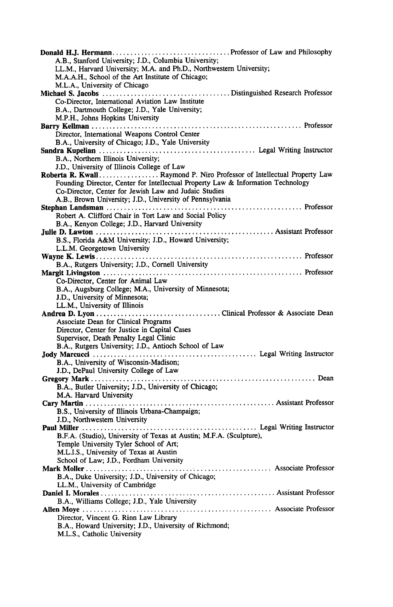| A.B., Stanford University; J.D., Columbia University;                            |  |
|----------------------------------------------------------------------------------|--|
| LL.M., Harvard University; M.A. and Ph.D., Northwestern University;              |  |
| M.A.A.H., School of the Art Institute of Chicago;                                |  |
| M.L.A., University of Chicago                                                    |  |
|                                                                                  |  |
| Co-Director, International Aviation Law Institute                                |  |
| B.A., Dartmouth College; J.D., Yale University;                                  |  |
| M.P.H., Johns Hopkins University                                                 |  |
|                                                                                  |  |
| Director, International Weapons Control Center                                   |  |
|                                                                                  |  |
| B.A., University of Chicago; J.D., Yale University                               |  |
|                                                                                  |  |
| B.A., Northern Illinois University;                                              |  |
| J.D., University of Illinois College of Law                                      |  |
| Roberta R. Kwall Raymond P. Niro Professor of Intellectual Property Law          |  |
| Founding Director, Center for Intellectual Property Law & Information Technology |  |
| Co-Director, Center for Jewish Law and Judaic Studies                            |  |
| A.B., Brown University; J.D., University of Pennsylvania                         |  |
|                                                                                  |  |
| Robert A. Clifford Chair in Tort Law and Social Policy                           |  |
|                                                                                  |  |
| B.A., Kenyon College; J.D., Harvard University                                   |  |
|                                                                                  |  |
| B.S., Florida A&M University; J.D., Howard University;                           |  |
| L.L.M. Georgetown University                                                     |  |
|                                                                                  |  |
| B.A., Rutgers University; J.D., Cornell University                               |  |
|                                                                                  |  |
| Co-Director, Center for Animal Law                                               |  |
|                                                                                  |  |
| B.A., Augsburg College; M.A., University of Minnesota;                           |  |
| J.D., University of Minnesota;                                                   |  |
| LL.M., University of Illinois                                                    |  |
|                                                                                  |  |
| Associate Dean for Clinical Programs                                             |  |
| Director, Center for Justice in Capital Cases                                    |  |
| Supervisor, Death Penalty Legal Clinic                                           |  |
| B.A., Rutgers University; J.D., Antioch School of Law                            |  |
|                                                                                  |  |
|                                                                                  |  |
| B.A., University of Wisconsin-Madison;                                           |  |
| J.D., DePaul University College of Law                                           |  |
|                                                                                  |  |
| B.A., Butler University; J.D., University of Chicago;                            |  |
| M.A. Harvard University                                                          |  |
|                                                                                  |  |
| B.S., University of Illinois Urbana-Champaign;                                   |  |
| J.D., Northwestern University                                                    |  |
|                                                                                  |  |
|                                                                                  |  |
| B.F.A. (Studio), University of Texas at Austin; M.F.A. (Sculpture),              |  |
| Temple University Tyler School of Art;                                           |  |
| M.L.I.S., University of Texas at Austin                                          |  |
| School of Law; J.D., Fordham University                                          |  |
|                                                                                  |  |
| B.A., Duke University; J.D., University of Chicago;                              |  |
| LL.M., University of Cambridge                                                   |  |
|                                                                                  |  |
| B.A., Williams College; J.D., Yale University                                    |  |
|                                                                                  |  |
|                                                                                  |  |
| Director, Vincent G. Rinn Law Library                                            |  |
| B.A., Howard University; J.D., University of Richmond;                           |  |
| M.L.S., Catholic University                                                      |  |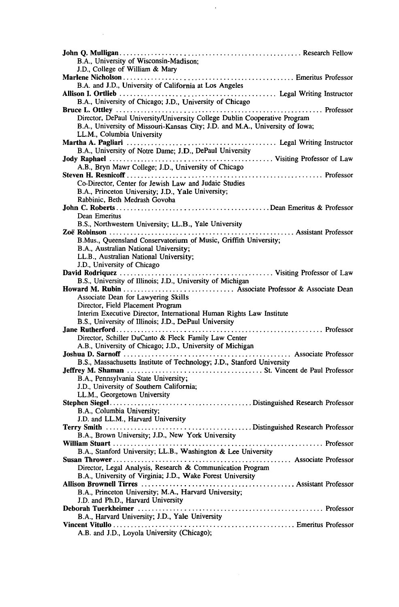| B.A., University of Wisconsin-Madison;                                       |
|------------------------------------------------------------------------------|
| J.D., College of William & Mary                                              |
|                                                                              |
| B.A. and J.D., University of California at Los Angeles                       |
|                                                                              |
| B.A., University of Chicago; J.D., University of Chicago                     |
|                                                                              |
| Director, DePaul University/University College Dublin Cooperative Program    |
| B.A., University of Missouri-Kansas City; J.D. and M.A., University of Iowa; |
| LL.M., Columbia University                                                   |
|                                                                              |
|                                                                              |
| B.A., University of Notre Dame; J.D., DePaul University                      |
|                                                                              |
| A.B., Bryn Mawr College; J.D., University of Chicago                         |
|                                                                              |
| Co-Director, Center for Jewish Law and Judaic Studies                        |
| B.A., Princeton University; J.D., Yale University;                           |
| Rabbinic, Beth Medrash Govoha                                                |
|                                                                              |
| Dean Emeritus                                                                |
| B.S., Northwestern University; LL.B., Yale University                        |
|                                                                              |
| B.Mus., Queensland Conservatorium of Music, Griffith University;             |
| B.A., Australian National University;                                        |
| LL.B., Australian National University;                                       |
|                                                                              |
| J.D., University of Chicago                                                  |
|                                                                              |
| B.S., University of Illinois; J.D., University of Michigan                   |
|                                                                              |
| Associate Dean for Lawyering Skills                                          |
| Director, Field Placement Program                                            |
| Interim Executive Director, International Human Rights Law Institute         |
| B.S., University of Illinois; J.D., DePaul University                        |
|                                                                              |
| Director, Schiller DuCanto & Fleck Family Law Center                         |
| A.B., University of Chicago; J.D., University of Michigan                    |
|                                                                              |
| B.S., Massachusetts Institute of Technology; J.D., Stanford University       |
|                                                                              |
| B.A., Pennsylvania State University;                                         |
| J.D., University of Southern California;                                     |
| LL.M., Georgetown University                                                 |
|                                                                              |
| B.A., Columbia University;                                                   |
| J.D. and LL.M., Harvard University                                           |
|                                                                              |
| B.A., Brown University; J.D., New York University                            |
|                                                                              |
|                                                                              |
| B.A., Stanford University; LL.B., Washington & Lee University                |
|                                                                              |
| Director, Legal Analysis, Research & Communication Program                   |
| B.A., University of Virginia; J.D., Wake Forest University                   |
|                                                                              |
| B.A., Princeton University; M.A., Harvard University;                        |
| J.D. and Ph.D., Harvard University                                           |
|                                                                              |
| B.A., Harvard University; J.D., Yale University                              |
|                                                                              |
| A.B. and J.D., Loyola University (Chicago);                                  |
|                                                                              |

 $\mathcal{A}^{\mathcal{A}}$ 

 $\label{eq:2.1} \mathcal{L}_{\mathcal{A}}(x) = \mathcal{L}_{\mathcal{A}}(x) \mathcal{L}_{\mathcal{A}}(x) \mathcal{L}_{\mathcal{A}}(x)$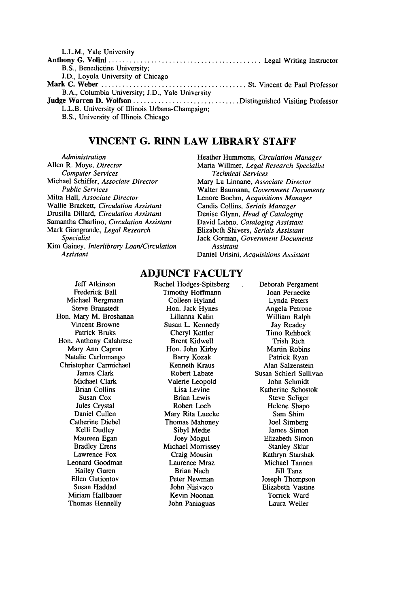| L.L.M., Yale University                          |  |
|--------------------------------------------------|--|
|                                                  |  |
| B.S., Benedictine University;                    |  |
| J.D., Loyola University of Chicago               |  |
|                                                  |  |
| B.A., Columbia University; J.D., Yale University |  |
|                                                  |  |
| L.L.B. University of Illinois Urbana-Champaign:  |  |
| B.S., University of Illinois Chicago             |  |
|                                                  |  |

## **VINCENT G. RINN LAW LIBRARY STAFF**

*Administration* Allen R. Moye, *Director Computer Services* Michael Schiffer, *Associate Director Public Services* Milta Hall, *Associate Director* Wallie Brackett, *Circulation Assistant* Drusilla Dillard, *Circulation Assistant* Samantha Charlino, *Circulation Assistant* Mark Giangrande, *Legal Research Specialist* Kim Gainey, *Interlibrary Loan/Circulation Assistant*

#### Heather Hummons, *Circulation Manager* Maria Willmer, *Legal Research Specialist Technical Services* Mary Lu Linnane, *Associate Director* Walter Baumann, *Government Documents* Lenore Boehm, *Acquisitions Manager* Candis Collins, *Serials Manager* Denise Glynn, *Head of Cataloging* David Labno, *Cataloging Assistant* Elizabeth Shivers, *Serials Assistant* Jack Gorman, *Government Documents Assistant* Daniel Urisini, *Acquisitions Assistant*

## **ADJUNCT FACULTY**

Jeff Atkinson Frederick Ball Michael Bergmann Steve Branstedt Hon. Mary M. Broshanan Vincent Browne Patrick Bruks Hon. Anthony Calabrese Mary Ann Capron Natalie Carlomango Christopher Carmichael James Clark Michael Clark Brian Collins Susan Cox Jules Crystal Daniel Cullen Catherine Diebel Kelli Dudley Maureen Egan Bradley Erens Lawrence Fox Leonard Goodman Hailey Guren Ellen Gutiontov Susan Haddad Miriam Hallbauer Thomas Hennelly

Rachel Hodges-Spitsberg Timothy Hoffmann Colleen Hyland Hon. Jack Hynes Lilianna Kalin Susan L. Kennedy Cheryl Kettler Brent Kidwell Hon. John Kirby Barry Kozak Kenneth Kraus Robert Labate Valerie Leopold Lisa Levine Brian Lewis Robert Loeb Mary Rita Luecke Thomas Mahoney **Sibyl** Medie Joey Mogul Michael Morrissey Craig Mousin Laurence Mraz Brian Nach Peter Newman John Nisivaco Kevin Noonan John Paniaguas

Deborah Pergament Joan Pernecke Lynda Peters Angela Petrone William Ralph Jay Readey Timo Rehbock Trish Rich Martin Robins Patrick Ryan Alan Salzenstein Susan Schierl Sullivan John Schmidt Katherine Schostok Steve Seliger Helene Shapo Sam Shim Joel Simberg James Simon Elizabeth Simon Stanley Sklar Kathryn Starshak Michael Tannen Jill Tanz Joseph Thompson Elizabeth Vastine Torrick Ward Laura Weiler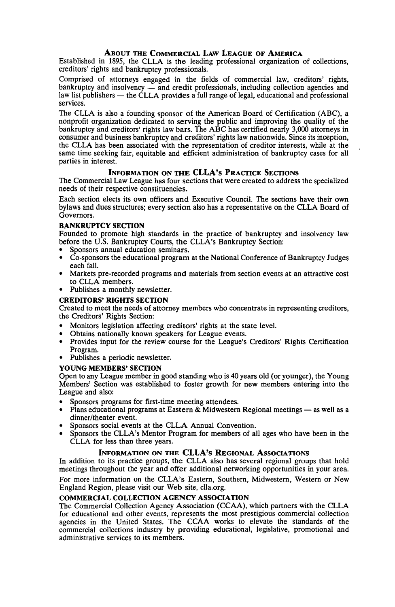#### **ABOUT THE COMMERCIAL LAw LEAGUE OF AMERICA**

Established in **1895,** the **CLLA** is the leading professional organization of collections, creditors' rights and bankruptcy professionals.

Comprised of attorneys engaged in the fields of commercial law, creditors' rights, bankruptcy and insolvency **-** and credit professionals, including collection agencies and law list publishers — the CLLA provides a full range of legal, educational and professional services.

The **CLLA** is also a founding sponsor of the American Board of Certification **(ABC),** a nonprofit organization dedicated to serving the public and improving the quality of the bankruptcy and creditors' rights law bars. The **ABC** has certified nearly **3,000** attorneys in consumer and business bankruptcy and creditors' rights law nationwide. Since its inception, the **CLLA** has been associated with the representation of creditor interests, while at the same time seeking fair, equitable and efficient administration of bankruptcy cases for all parties in interest.

#### **INFORMATION ON THE CLLA's PRACTICE SECTIONS**

The Commercial Law League has four sections that were created to address the specialized needs of their respective constituencies.

Each section elects its own officers and Executive Council. The sections have their own bylaws and dues structures; every section also has a representative on the **CLLA** Board of Governors.

#### BANKRUPTCY SECTION

Founded to promote high standards in the practice of bankruptcy and insolvency law before the **U.S.** Bankruptcy Courts, the CLLA's Bankruptcy Section:

- Sponsors annual education seminars.
- \* Co-sponsors the educational program at the National Conference of Bankruptcy Judges each fall.
- Markets pre-recorded programs and materials from section events at an attractive cost to **CLLA** members.
- \* Publishes a monthly newsletter.

#### **CREDITORS' RIGHTS SECTION**

Created to meet the needs of attorney members who concentrate in representing creditors, the Creditors' Rights Section:

- \* Monitors legislation affecting creditors' rights at the state level.
- Obtains nationally known speakers for League events.
- \* Provides input for the review course for the League's Creditors' Rights Certification Program.
- Publishes a periodic newsletter.

#### **YOUNG MEMBERS' SECTION**

Open to any League member in good standing who is 40 years old (or younger), the Young Members' Section was established to foster growth for new members entering into the League and also:

- Sponsors programs for first-time meeting attendees.
- \* Plans educational programs at Eastern **&** Midwestern Regional meetings **-** as well as a dinner/theater event.
- Sponsors social events at the CLLA Annual Convention.
- Sponsors the CLLA's Mentor Program for members of all ages who have been in the **CLLA** for less than three years.

#### **INFORMATION ON THE CLLA's REGIONAL ASSOCIATIONS**

In addition to its practice groups, the **CLLA** also has several regional groups that hold meetings throughout the year and offer additional networking opportunities in your area. For more information on the CLLA's Eastern, Southern, Midwestern, Western or New England Region, please visit our Web site, clla.org.

#### **COMMERCIAL COLLECTION AGENCY ASSOCIATION**

The Commercial Collection Agency Association **(CCAA),** which partners with the **CLLA** for educational and other events, represents the most prestigious commercial collection agencies in the United States. The **CCAA** works to elevate the standards of the commercial collections industry **by** providing educational, legislative, promotional and administrative services to its members.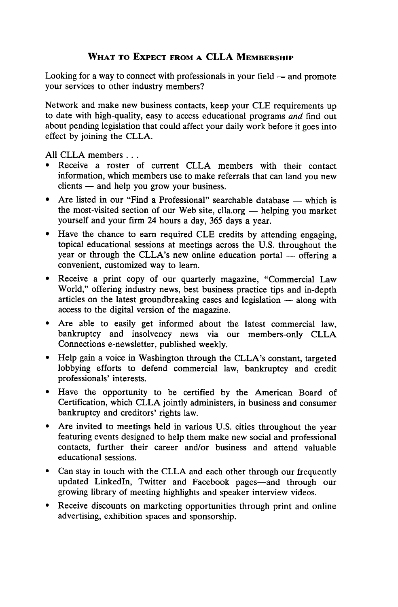## **WHAT TO EXPECT FROM A CLLA MEMBERSHIP**

Looking for a way to connect with professionals in your field **-** and promote your services to other industry members?

Network and make new business contacts, keep your **CLE** requirements up to date with high-quality, easy to access educational programs *and* find out about pending legislation that could affect your daily work before it goes into effect **by** joining the **CLLA.**

**All CLLA** members **...**

- \* Receive a roster of current **CLLA** members with their contact information, which members use to make referrals that can land you new clients **-** and help you grow your business.
- \* Are listed in our "Find a Professional" searchable database **-** which is the most-visited section of our Web site, clla.org **-** helping you market yourself and your firm 24 hours a day, **365** days a year.
- \* Have the chance to earn required **CLE** credits **by** attending engaging, topical educational sessions at meetings across the **U.S.** throughout the year or through the CLLA's new online education portal **-** offering a convenient, customized way to learn.
- \* Receive a print copy of our quarterly magazine, "Commercial Law World," offering industry news, best business practice tips and in-depth articles on the latest groundbreaking cases and legislation **-** along with access to the digital version of the magazine.
- \* Are able to easily get informed about the latest commercial law, bankruptcy and insolvency news via our members-only **CLLA** Connections e-newsletter, published weekly.
- \* Help gain a voice in Washington through the CLLA's constant, targeted lobbying efforts to defend commercial law, bankruptcy and credit professionals' interests.
- \* Have the opportunity to be certified **by** the American Board of Certification, which **CLLA** jointly administers, in business and consumer bankruptcy and creditors' rights law.
- \* Are invited to meetings held in various **U.S.** cities throughout the year featuring events designed to help them make new social and professional contacts, further their career and/or business and attend valuable educational sessions.
- \* Can stay in touch with the **CLLA** and each other through our frequently updated LinkedIn, Twitter and Facebook pages-and through our growing library of meeting highlights and speaker interview videos.
- \* Receive discounts on marketing opportunities through print and online advertising, exhibition spaces and sponsorship.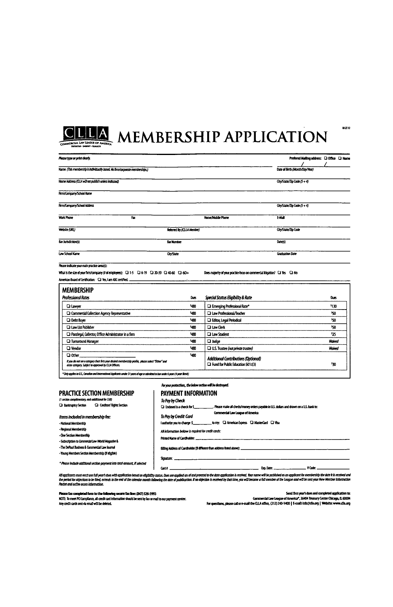

# **CHEM** MEMBERSHIP APPLICATION

| Name (This membership is individually based. No firm/aproportie memberships.)                                                                                                                                                                                       |                           |                                                                               | Date of Birth (Month/Day/Year) |               |
|---------------------------------------------------------------------------------------------------------------------------------------------------------------------------------------------------------------------------------------------------------------------|---------------------------|-------------------------------------------------------------------------------|--------------------------------|---------------|
| Home Address (CLLA wiJ not publish unless indicated)                                                                                                                                                                                                                |                           |                                                                               | City/State/Zip Code (5+4)      |               |
| Firm/Company/School Kame                                                                                                                                                                                                                                            |                           |                                                                               |                                |               |
| Firm/Company/School Address                                                                                                                                                                                                                                         |                           |                                                                               | $Cny/5$ tata/Zip Code (5 + 4)  |               |
| Work Phone<br>Fax:                                                                                                                                                                                                                                                  |                           | Home/Mobile Phone                                                             | EMA                            |               |
| Website (URL)                                                                                                                                                                                                                                                       | Referred By (CLLA Member) |                                                                               | City/State/Zip Code            |               |
| Bar Jurisdiction(s)                                                                                                                                                                                                                                                 | <b>Bar Number</b>         |                                                                               | Date(s)                        |               |
|                                                                                                                                                                                                                                                                     |                           |                                                                               |                                |               |
| Law School Name<br>Please indicate your main practice area(s):<br>What is the size of your firm/company (# of employees): [2] 1-5 [2] 6-19 [2] 20-39 [2] 40-60 [2] 60+                                                                                              | <b>City/State</b>         | Does majority of your practice focus on commercial litigation? [ I Yes [ I No | <b>Graduation Date</b>         |               |
| American Board of Certification: [1] Yes, I am ABC certified.<br><b>MEMBERSHIP</b>                                                                                                                                                                                  |                           |                                                                               |                                |               |
|                                                                                                                                                                                                                                                                     | Dues                      | Special Status Eligibility & Rate                                             |                                | <b>Ques</b>   |
|                                                                                                                                                                                                                                                                     | \$430                     | <sup>2</sup> Emerging Professional Rate*                                      |                                | \$130         |
|                                                                                                                                                                                                                                                                     | 1480                      | Law Professional/Teacher                                                      |                                | 50            |
|                                                                                                                                                                                                                                                                     | 1430                      | <sup>1</sup> Editor, Legal Periodical                                         |                                | 550           |
|                                                                                                                                                                                                                                                                     | 1430                      | <b>Q Law Clerk</b>                                                            |                                | 50            |
|                                                                                                                                                                                                                                                                     | \$480                     | <b>El Law Student</b>                                                         |                                | 525           |
|                                                                                                                                                                                                                                                                     | 1450                      | □ Judge                                                                       |                                | <b>Waived</b> |
| Professional Rates<br><b>Q</b> Lawrer<br><sup>1</sup> Commercial Collection Agency Representative<br><b>Q</b> Debt Buyer<br><b>Q Law List Publisher</b><br>Ta Paralegal, Collector, Office Administrator in a firm<br><b>D</b> Tumaround Manager<br><b>Q</b> Vendor | \$480                     | U.S. Trustee (not private trustee)                                            |                                | <b>Maived</b> |

| 11 SECURI COMPANIAMENTE, COLO DESIGRADO AS 330) |                              |  |
|-------------------------------------------------|------------------------------|--|
| <b>C</b> Bankruptcy Section                     | Ca Creditors' Rights Section |  |

## *Items included in membership fee:*<br>· National Membership

- 
- 
- 
- The DePaul Business & Commercial Law Journal
- Young Members Section Membership (if eligible)

#### For your protection, the below section will be destroyed. **PRACTICE SECTION MEMBERSHIP PAYMENT INFORMATION**  $\sum_{n=1}^{\infty}$  Bonage is senion fixed. Please make all checks/money orders navable in U.S. dollars and drawn on a U.S. basis to:

|                                                                            | Commercial Law League of America                                                                                                                                                                                               |
|----------------------------------------------------------------------------|--------------------------------------------------------------------------------------------------------------------------------------------------------------------------------------------------------------------------------|
| Items included in membership fee:                                          | To Pay by Credit Card                                                                                                                                                                                                          |
| - National Membership                                                      | to my: CI American Express CI MasterCard CI Visa<br>lauthorize you to charge \$                                                                                                                                                |
| - Regional Membership                                                      | All information below is required for credit cards:                                                                                                                                                                            |
| - One Section Membership                                                   |                                                                                                                                                                                                                                |
| - Subscription to Commercial Law World Magazine &                          |                                                                                                                                                                                                                                |
| - The DePaul Business & Commercial Law Journal                             |                                                                                                                                                                                                                                |
| - Young Members Section Membership (if clique)                             |                                                                                                                                                                                                                                |
|                                                                            | $S$ and $S$ . The summarization of $S$ and $S$ and $S$ and $S$ and $S$ and $S$ and $S$ and $S$ and $S$ and $S$ and $S$ and $S$ and $S$ and $S$ and $S$ and $S$ and $S$ and $S$ and $S$ and $S$ and $S$ and $S$ and $S$ and $S$ |
| * Please include additional section parment into total amount. If selected | V Code:<br>Card #                                                                                                                                                                                                              |
|                                                                            |                                                                                                                                                                                                                                |

l Cast (Collection of the Cast of Cast (Cast) (Cast (Cast (Cast) (Cast) (Cast (Cast) (Cast (Cast) (Collection of Cast)<br>The priori list and the control of the control of the control of the control of the control of the cont

ease fax completed form to the following secu

Any credit cards sent via email will be deleted.

Sand first year's dues and completed application t<br>Commercial Law League of America<sup>s</sup>, 36404 trassary Center Ghapga, 11, 6065<br>Temait: indigicilia.org | Website: www.clis.a و Temail the CLLA office, 312)240-1400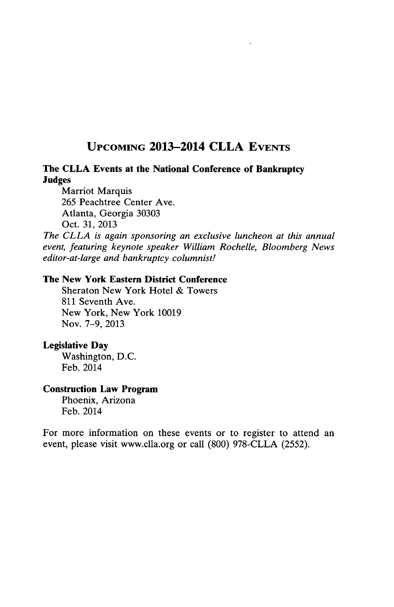## **UPCOMING 2013-2014 CLLA EVENTS**

## **The CLLA Events at the National Conference of Bankruptcy Judges**

Marriot Marquis *265* Peachtree Center Ave. Atlanta, Georgia **30303** Oct. **31, 2013**

*The CLLA is again sponsoring an exclusive luncheon at this annual event, featuring keynote speaker William Rochelle, Bloomberg News editor-at-large and bankruptcy columnist!*

## **The New York Eastern District Conference**

Sheraton New York Hotel **&** Towers **811** Seventh Ave. New York, New York **10019** Nov. **7-9, 2013**

## **Legislative Day**

Washington, **D.C.** Feb. 2014

## **Construction Law Program**

Phoenix, Arizona Feb. 2014

For more information on these events or to register to attend an event, please visit www.clla.org or call **(800) 978-CLLA** *(2552).*